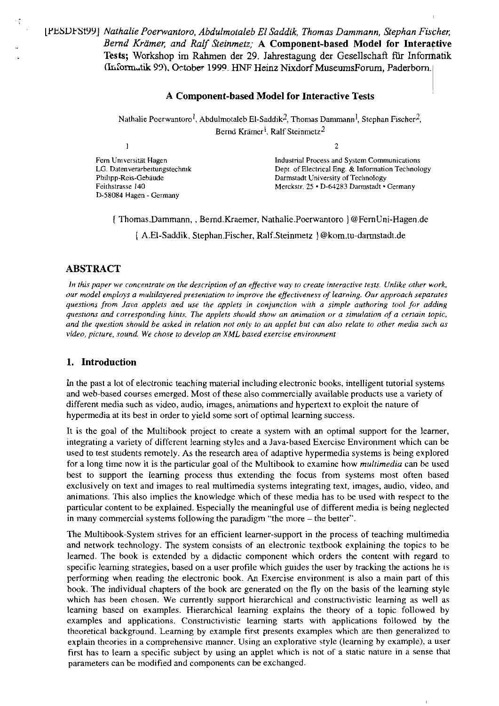# [YEYUFStYY] *Nathalie Poerwantoro. Abdulmotaleb EI Saddik, Thomas Dammann, Stephan Fischer; Bernd Krämer; und Ralf Steinmetz;* **A Component-based Model for Interaqtive Tests;** Workshop **im** Rahmen der 29. Jahrestagung der Gesellschaft für Infonfiatik **(Iri:ormutik 93).** October **1999. HNF** Heinz Nixdorf MuseumsForum, Paderbom.1

### **A Component-based Model for Interactive Tests**

Nathalie Poerwantoro<sup>1</sup>, Abdulmotaleb EI-Saddik<sup>2</sup>, Thomas Dammann<sup>1</sup>, Stephan Fischer<sup>2</sup>, Bernd Krämer<sup>l</sup>, Ralf Steinmetz<sup>2</sup>

 $\mathbf{1}$ 

 $\mathcal{L}$ 

Fern Universität Hagen LG. Datenverarbeitungstechnik Philipp-Reis-Gebaude Feithstrasse 140 D-58084 Hagen - Germany

lndustrial Process and System Communications Depr of Electrical Eng. & lnfonnation Technology Darmstadt University of Technology Merckstr. 25 · D-64283 Darmstadt · Germany

{ Thomas, Dammann, , Bernd. Kraemer, Nathalie. Poerwantoro } @FernUni-Hagen.de

{ A.El-Saddik, Stephan. Fischer, Ralf. Steinmetz } @kom.tu-darmstadt.de

# **ABSTRACT**

In this paper we concentrate on the description of an effective way to create interactive tests. Unlike other work, *(our model employs a multilayered presentation to improve the effectiveness of learning. Our approach separates* questions from Java applets and use the applets in conjunction with a simple authoring tool for adding *questions and corresponding hints. The applets should show an animation or a simulation of a certain topic, and the question should be asked in relation not only to an applet but can also relate to other media such as video, picture, sorind. We chose to develop an* **XML** *based exercise environrnent* 

## **1. Introduction**

In the past a lot of electronic teaching material including electronic books, intelligent tutorial systems and web-based Courses emerged. Most of these also commercially available products use a variety of different media such as video, audio, images, animations and hypertext to exploit the nature of hypermedia at its best in order to yield some sort of optimal learning success.

It is the goal of the Multibook project to create a system with an optimal support for the learner, integrating a variety of different learning styles and a Java-based Exercise Environment which can be used to test students remotely. As the research area of adaptive hypermedia systems is being explored for a long time now it is the particular goal of the Multibook to examine how *multimedia* can be used best to support the learning process thus extending the focus from systems most often based exclusively on text and images to real multimedia systems integrating text, images, audio, video, and animations. This also implies the knowledge which of tbese media has to be used with respect to the particular content to be explained. Especially the meaningful use of different media is being neglected in many commercial systems following the paradigm "the more – the better".

The Multibook-System strives for an efficient learner-support in the process of teaching multimedia and network technology. The system consists of an electronic textbook explaining the topics to be learned. The book is extended by a didactic component which orders the content with regard to specific learning strategies, based on a user profile which guides the user by tracking the actions he is performing when reading the electronic book. An Exercise environment is also a main part of this book. The individual chapters of the book are generated on the fly on the basis of the leaming style which has been chosen. We currently support hierarchical and constructivistic learning as well as learning based on examples. Hierarchical learning explains the theory of a topic followed by examples and applications. Constmctivistic leaming starts with applications followed by the theoretical background. Learning by example first presents examples which are then generalized to explain theories in a comprehensive manner. Using an explorative style (learning by example), a user first has to leam a specific subject by using an applet which is not of a static nature in a sense that parameters can be modified and components can be exchanged.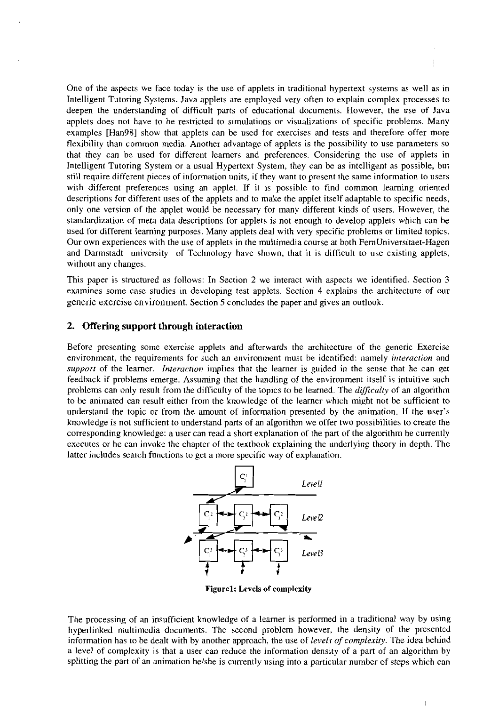One of the aspects we face today is the use of applets in traditional hypertext systems as well as in Intelligent Tutoring Systems. Java applets are employed very often to explain complex processes to deepen the understanding of difficult parts of educational documents. However, the use of Java applets does not have to be restricted to simulations or visualizations of specific problems. Many examples [Han98] show that applets can be used for exercises and tests and therefore offer more flexibility than common media. Another advantage of applets is the possibility to use parameters so that they can be used for different learners and preferences. Considering the use of applets in Intelligent Tutoring System or a usual Hypertext System, they can be as intelligent as possible. but still require different pieces of information units, if they Want to present the same information to users with different preferences using an applet. If it is possible to find common learning oriented descriptions for different uses of the applets and to make the applet itself adaptahle to specific needs, only one version of the applet would be necessary for many different kinds of users. However, the standardization of meta data descriptions for applets is not enough to develop applets which can be used for different learning purposes. Many applets deal with very specific problems or limited topics. Our own experiences with the use of applets in the multimedia Course at both FernUniversitaet-Hagen and Darmstadt university of Technology have shown, that it is difficult to use existing applets, without any changes.

This paper is structured as follows: In Section 2 we interact with aspects we identified. Section **3**  examines some case studies in developing test applets. Section 4 explains the architecture of our generic exercise environment. Section 5 concludes the paper and gives an outlook.

## **2. Offering support through interaction**

Before presenting some exercise applets and afterwards the architecture of the generic Exercise environment, the requirements for such an environment must be identified: namely *interaction* and *support* of the learner. *Interaction* implies that the Iearner is guided in the sense that he can get feedback if problems emerge. Assuming that the handling of the environment itself is intuitive such problems can only result from the difficulty of the topics to be learned. The *dificulry* of an algorithm to be animated can result either from the knowledge of the learner which might not be sufficient to understand the topic or from the amount of information presented by the animation. If the user's knowledge is not sufficient to understand parts of an algorithm we offer two possibilities to create the corresponding knowledge: a user can read a short explanation of the part of the algorithm he currently Executes or he can invoke the chapter of the textbook explainant to the part of the algorithm be currently executes or he can invoke the chapter of the textbook explaining the underlying theory in depth. The latter includ latter includes search functions to get a more specific way of explanation.



**Figurel: Levels of complexity** 

The processing of an insufficient knowledge of a learner is performed in a traditional way by using hyperlinked multimedia documents. The second problem however, the density of the presented information has to be dealt with by another approach, the use of *levels of complexity*. The idea behind a level of complexity **is** that a user can reduce the information density of a part of an algorithm by splitting the part of an animation he/she is currently using into a particular number of steps which can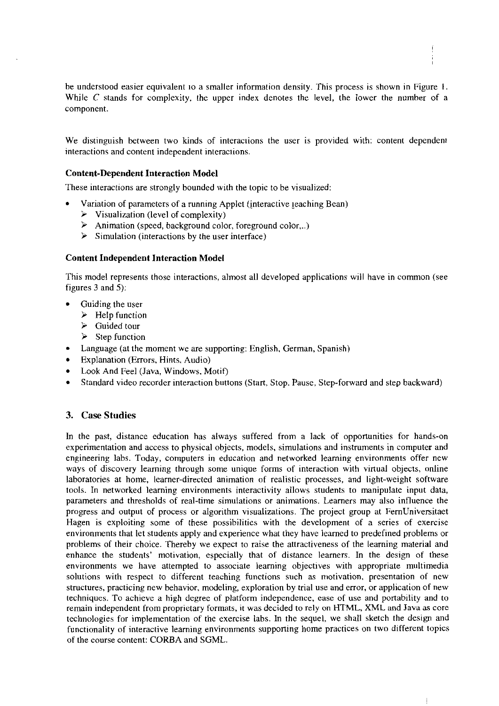be understood easier equivalent 10 a smaller infomation density. This process is shown in Figure I. While  $C$  stands for complexity, the upper index denotes the level, the lower the number of a component.

We distinguish between two kinds of interactions the user is provided with: content dependent interactions and content independent interaciions.

### **Content-Dependent Interaction Model**

These interactions are strongly bounded with the topic tobe visualized:

- Variation of parameters of a mnning Applet (jnteractive ieaching Bean)
	- $\triangleright$  Visualization (level of complexity)
	- $\triangleright$  Animation (speed, background color, foreground color...)
	- $\triangleright$  Simulation (interactions by the user interface)

### **Content Independent Interaction Model**

This model represents those interactions, almost all developed applications will have in common (see figures 3 and *5):* 

- Guiding the user
	- $\triangleright$  Help function
	- $\triangleright$  Guided tour
	- **EXECUTE:**  $\triangleright$  **Step function**
- $\bullet$ Language (at the moment we are supporting: English, German, Spanish)
- Explanation (Errors, Hints, Audio)
- Look And Feel (Java, Windows, Motif)
- Standard video recorder interaction buttons (Start, Stop. Pause, Step-forward and step backward)

## **3. Case Studies**

In the past, distance education has always suffered from a lack of opponunities for hands-on experimentation and access to physical objects, models, simulations and instruments in computer and engineering labs. Today, Computers in education and networked learning environments offer new ways of discovery learning through some unique forms of interaction with vinual objects, online laboratories at home, learner-directed animation of realistic processes, and light-weight software tools. In networked learning environments interactivity allows students to manipulate input data, parameters and thresholds of real-time simulations or animations. Learners may also influence the Progress and output of process or algorithm visualizations. The project group at FernUniversitaet Hagen is exploiting some of these possibilities with the development of a series of exercise environments that let students apply and experience what they have lemed to predefined problems or problems of their choice. Thereby we expect to raise the attractiveness of the learning material and enhance the students' motivation, especially that of distance learners. In the design of these environments we have attempted to associate learning objectives with appropriate multimedia solutions with respect to different teaching functions such as motivation, presentation of new stmctures, practicing new behavior, modeling, exploration by trial use and error, or application of new techniques. To achieve a high degree of platfonn independence, ease of use and portability and to remain independent from proprietary formats, it was decided to rely on HTML, XML and Java **as** core technologies for implementation of the exercise labs. In the sequel, we shall sketch the design and functionality of interactive learning environments supponing home practices on two different topics of the Course content: CORBA and SGML.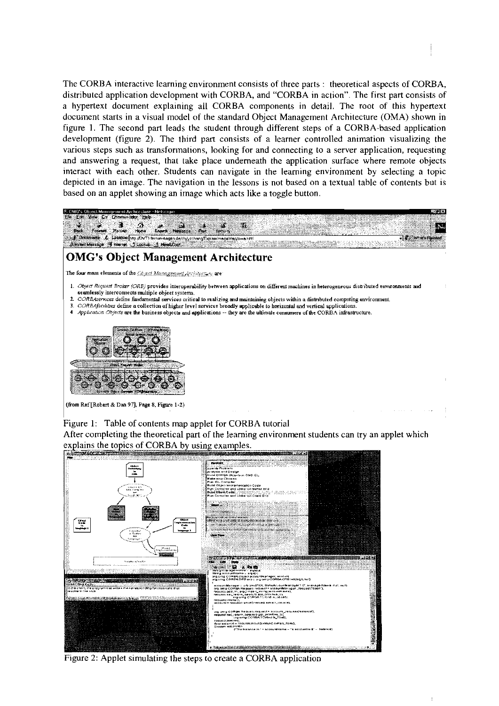The CORBA interactive learning environment consists of three parts : theoretical aspects of CORBA, distributed application development with CORBA, and "CORBA in action". The first part consists of a hypertext document explaining all CORBA components in detail. The root of this hypertext document starts in a visual model of the standard Object Management Architecture (OMA) shown in figure 1. The second part leads the student through different steps of a CORBA-based application development (figure 2). The third part consists of a learner controlled animation visualizing the various steps such as transformations, looking for and connecting to a server application, requesting and answering a request, that take place underneath the application surface where remote objects interact with each other. Students can navigate in the learning environment by selecting a topic depicted in an image. The navigation in the lessons is not based on a textual table of contents but is based on an applet showing an image which acts like a toggle button.



Figure I: Table of contents map applet for CORBA tutorial

After completing the theoretical part of the learning environment students can try an applet which explains the topics of CORBA by using examples.



Figure 2: Applet simulating the steps to create a CORBA application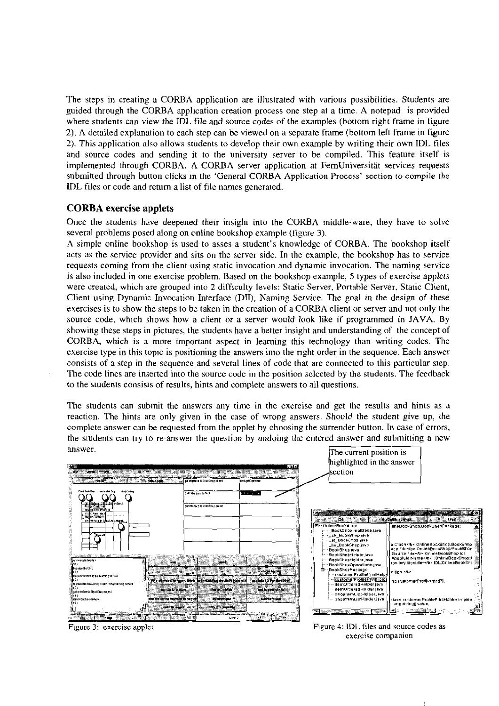The steps in creating a CORBA application are illustrated with various possibilities. Students are guided through the CORBA application creation process one step at a time. A notepad is provided where students can view the IDL file and source codes of the examples (bottom right frame in figure 2). A detailed explanation to each step can be viewed on a separate frame (bottom left frame in figure 2). This application also allows students to develop their own example by writing their own IDL files and source codes and sending it to the university server to be compiled. This feature itself is implemented through CORBA. A CORBA server application at FernUniversität services requests submitted through button clicks in the 'General CORBA Application Process' section to compile the IDL files or code and return a list of file narnes generaied.

# **CORBA exercise applets**

Once the students have deepened their insighi into the CORBA middle-ware, they have to solve several problems posed along on online bookshop example (figure 3).

A simple online bookshop is used to asses a student's knowledge of CORBA. The bookshop itself acts as the service provider and sits on the server side. In the example, the bookshop has to service requests coming from the client using static invocation and dynamic invocation. The naming service is also included in one exercise problem. Based on the bookshop example, **5** types of exercise applets were creaied, which are grouped into **2** difficulty levels: Static Server, Portahle Server, Static Client, Client using Dynamic Invocation Interface (DII), Naming Service. The goal in the design of these exercises is to show the steps to be taken in the creation of a CORBA client or server and not only the source code, which shows how a client or a server would look like if programmed in JAVA. By showing these steps in pictures, the students have a better insight and understanding of the concept of **CORBA,** which is a more important aspect in learning this technology than writing codes. The exercise type in this topic is positioning the answers into the right order in the sequence. Each answer consists of a step in the sequence and several lines of code that are connected to this particular siep. The code lines are inserted into the source code in the position selected by the students. The feedback to the siudents consisis of results, hints and complete answers to all questions.

The students can submit the answers any time in the exercise and get the results and hinis as a reaction. The hints are only given in the case of wrong answers. Should the student give up, the complcte answer can be requested from the applet hy choosing the surrender button. In case of errors, the students can try to re-answer the question by undoing the entered answer and submitting a new  $\frac{1}{\pi}$  answer.



Figure 3: exercisc applet Figure 4: IDL files and source codes as exercise companion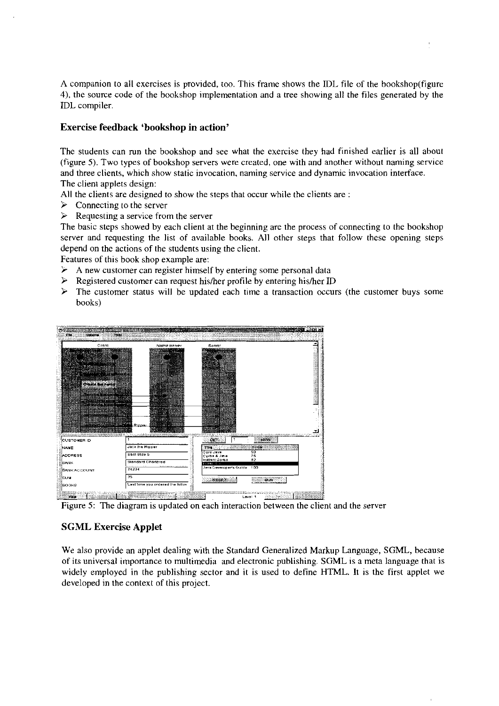A companion to all exercises is provided, too. This frame shows the IDL file of the bookshop(figure 4), the source code of the bookshop implementation and a tree showing all the files generated by the IDL compiler.

# **Exercise feedback 'bookshop in action'**

The students can mn the bookshop and see what the exercise they had finished earlier is all about (figure 5). Two types of bookshop servers were created, one with and another without naming service and three clients, which show static invocation. naming service and dynarnic invocation interface. The client applets design:

All the clients are designed to show the steps that occur while the clients are :

- $\triangleright$  Connecting to the server
- $\triangleright$  Requesting a service from the server

The basic steps showed by each client at the beginning are the process of connecting to the bookshop server and requesting the list of available books. All other steps that follow these opening steps depend on the actions of the students using the client.

Features of this book shop example are:

- A new customer can register himself by entering some personal data<br>  $\triangleright$  Registered customer can request his/her profile by entering his/her II
- Registered customer can request his/her profile by entering his/her ID
- $\triangleright$  The customer status will be updated each time a transaction occurs (the customer buys some books)



Figure 5: The diagram is updated on each interaction between the client and the server

# **SGML Exercise Applet**

We also provide an applet dealing with the Standard Generalized Markup Language, SGML, because of its universal importance to multimedia and electronic publishing. SGML is a meta language that is widely employed in the publishing sector and it is used to define HTML. It is the first applet we developed in the context of this project.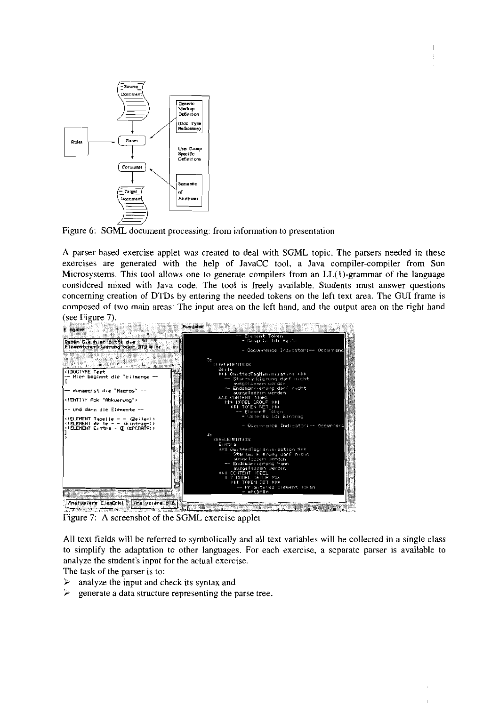

Figure 6: SGML document processing: from information to presentation

A parser-based exercise applet was created to deal with SGML topic. The parsers needed in these exercises are generated with the help of IavaCC tool, a Java compiler-compiler from Sun Microsystems. This tool allows one to generate compilers from an LL(1)-grammar of the language considered mixed with Java code. The tool is freely available. Students must answer questions concerning creation of DTDs by entering the needed tokens on the left text area. The GUI frame is composed of two main areas: The input area on the left hand, and the output area on the right hand (see Figure 7).



Figure 7: A screenshot of the SGML exercise applet

All texl fields will be referred to symbolically and all text variables will be collected in a single class to simplify the adaptation to other languages. For each exercise, a separate parser is available to analyze the student's input for the actual exercise.

The task of the parser is to:

- $\triangleright$  analyze the input and check its syntax and
- $\geq$  generate a data structure representing the parse tree.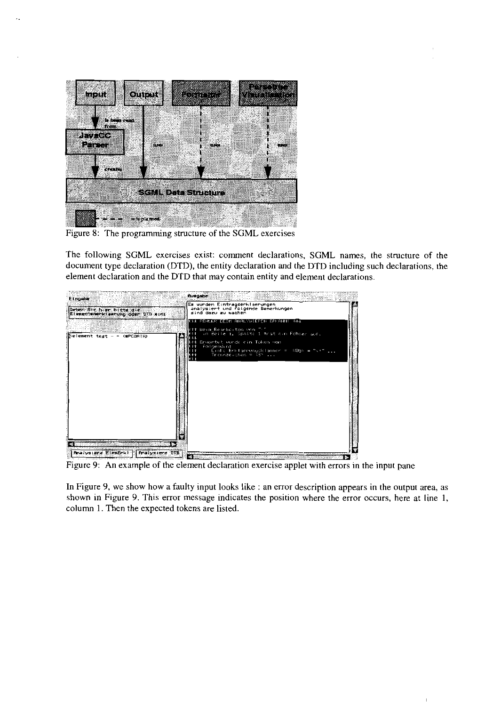

Figure 8: The programming stmcture of the SGML exercises

The following SGML exercises exist: comment declarations, SGML names, the stmcture of the document type declaration (DTD), the entity declaration and the DTD including such declarations, the element declaration and the DTD that may contain entity and element declarations.



Figure 9: An example of the element declaration exercise applet with errors in the input pane

In Figure 9, we show how a faulty input looks like : an error description appears in the output area, as shown in Figure 9. This error message indicates the position where the error occurs, here at line 1, column 1. Then the expected tokens are listed.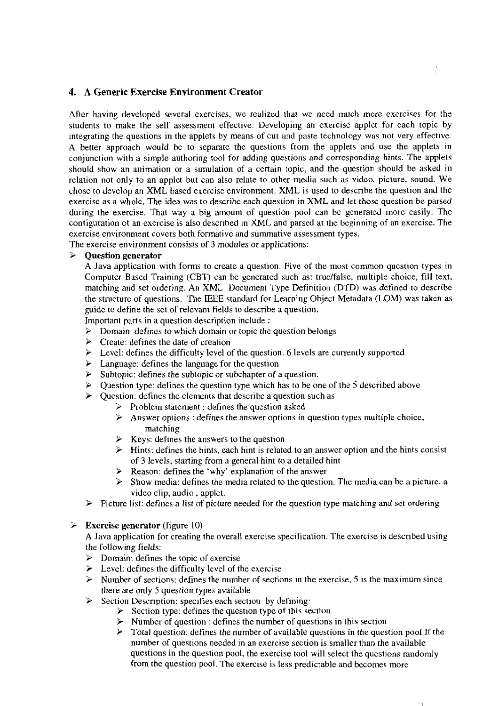## **4. A Generic Exercise Environment Creator**

After having developed several exercises. we realized that we necd much more exercises for the students to make the self assessment effective. Developing an exercise applet for each topic by integrating the questions in the applets by means of cut and paste technology was not very effective. **A** better approach would **be** to separate the questions from the applets and use the applets in conjunction with a simple authoring tool for adding questions and corresponding hints. The applets should show an animation or a simulation of a certain topic, and the question should be asked in relation not only to an applet but can also relate to other media such as vidco, picture, sound. We chose to develop an XML based exercise environment. XML is used to describe the question and the exercise as a whole. The idea was to describe each question in XML and let those question be parsed during the exercise. That way a big amount of question pool can be generated more easily. The configuration of an exercise is also described in XML and parsed at the beginning of an exercise. The exercise environment Covers both formative and summative assessment types.

The exercise environment consists of **3** modules or applications:

## **3 Question generator**

A Java application with forms to create a question. Five of the most common question types in Computer Based Training (CBT) can be generated such as: tmelfalse, multiple choice, fill text, matching and set ordering. An XML Document Type Definition (DTD) was defined to describe the stmcture of questions. The IEEE standard for Learning Object Metadata (LOM) was taken as guide to define the set of relevant fields to describe a question.

Important parts in a question description include :

- *3* Domain: defines to which domain or topic the question belongs
- *3* Create: defines the date of creation
- $\geq$  Level: defines the difficulty level of the question. 6 levels are currently supported  $\geq$  Language: defines the language for the question
- Example 2 Language: defines the language for the question  $\geq$  Subtopic: defines the subtopic or subchapter of a
- *3* Subtopic: defines the subtopic or subchapter of a question.
- *3* Question type: defines the question type which has tobe one of the *5* described above
- *3* Question: defines the elements that describe a question such as
	- $\triangleright$  Problem statement : defines the question asked
		- *3* Answer options : defines the answer options in question typcs multiple choice, matching
		- *3* Keys: defines the answers to the question
		- $\geq$  Hints: defines the hints, each hint is related to an answer option and the hints consist of **3** levels. starting from a general hint to a detailed hint
		- **3** Reason: defines the 'why' explanation of the answer
		- Show media: defines the media related to the question. The media can be a picture, a video clip, audio , applet.
- $\geq$  Picture list: defines a list of picture needed for the question type matching and set ordering

## **3 Exercise generator** (figure 10)

A Java application for creating the overall exercise specification. The exercise is described using the following fields:

- *3* Domain: defines the topic of exercise
- *3* Level: defines the difficulty level of the exercise
- $\triangleright$  Number of sections: defines the number of sections in the exercise, 5 is the maximum since there are only *5* question types available
- *3* Section Description: specifies each section by defining:
	- $\triangleright$  Section type: defines the question type of this section
		- *3* Number of question : defines the number of questions in this section
		- Total question: defines the number of available questions in the question pool If the number of questions needed in an exercise section is smaller than the available questions in the question pool, the exercise tool will select the questions randomly from the question pool. The exercise is less predictable and becomes more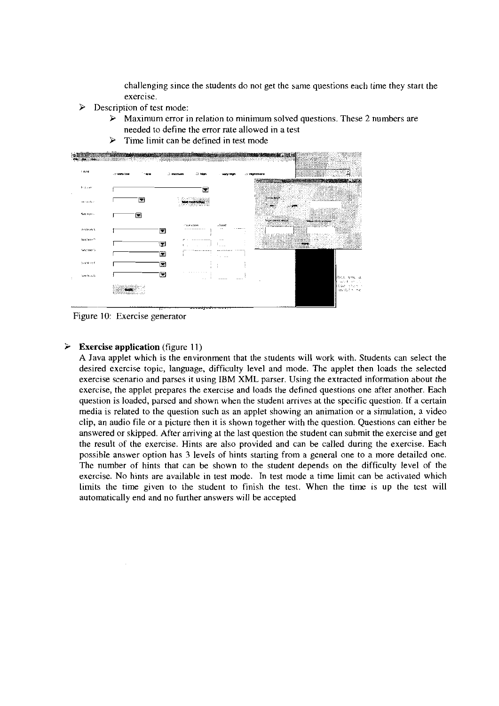challenging since the students do not get the same questions eacli time they start the exercise.

- $\triangleright$  Description of test mode:
	- Maximum error in relation to minimum solved questions. These 2 numbers are  $\blacktriangleright$ needed to define the error rate allowed in a test
	- **P** Time limit can be defined in test mode



Figure 10: Exercise generator

### **Exercise application** (figure 11)

A Java applet which is the environment that the students will work with. Students can select the desired exercise topic, language, difficulty level and mode. The applet then loads the selected exercise scenario and parses it using IBM XML Parser. Using the extracted information about the exercise, the applet prepares the exercise and loads the defined questions one after another. Each question is loaded, parsed and shown when the student arrives at the specific question. If a certain media is related to the question such as an applet showing an animation or a simulation, a video clip, an audio file or a picture then it is shown together with the question. Questions can either be answered or skipped. After arriving at the last question the student can submit the exercise and get the result of the exercise. Hints are also provided and can be called during the exercise. Each possible answer option has **3** levels of hints starting from a general one to a more detailed one. The number of hints that can be shown to the student depends on the difficulty level of the exercise. No hints are available in test mode. In test mode a time limit can be activated which limits the time given to the student to finish the test. When the time is up the test will automatically end and no further answers will be accepted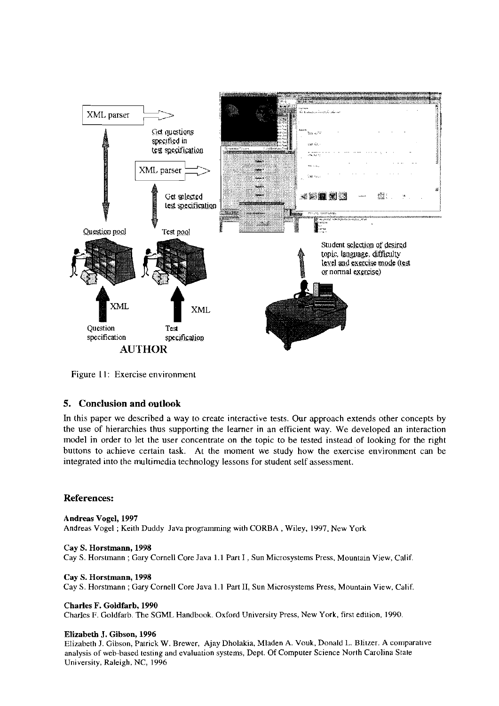

Figure I I: Exercise environment

# **5. Conclusion and outlook**

In this paper we described a way to create interactive tests. Our approach extends other concepts by the use of hierarchies thus supporting the leamer in an efficient way. We developed an interaction model in order to let the user concentrate on the topic to be tested instead of looking for the right buttons to achieve certain task. At the inoment we study how the exercise environment can be integrated into the multimedia technology lessons for student self assessment.

## **References:**

Andreas Vogel, **1997**  Andreas Vogel ; Keith Duddy Java programming with CORBA , Wiley, 1997. New York

Cay **S.** Horstmann, **1998**  Cay S. Horstmann ; Gary Cornell Core Java 1.1 Part I , Sun Microsystems Press, Mountain View, Calif.

Cay S. Horstmann, **1998**  Cay S. Horstmann ; Gary Cornell Core Java 1.1 Part 11, Sun Microsystems Press, Mountain View. Calif

Charles F. Goldfarb, **1990**  CharIes F. Goldfarb. The SGML Handbook. Oxford University Press, New York, first edition, 1990

### Elizabeth J. Gibson, **1996**

Elizabeth J. Gibson, Patrick W. Brewer, Ajay Dholakia, Mladen A. Vouk, Donald L. Blitzer. A cornparaiive analysis of web-based testing and evaluation Systems, Dept. Of Compuier Science North Carolina State University, Raleigh, NC, 1996